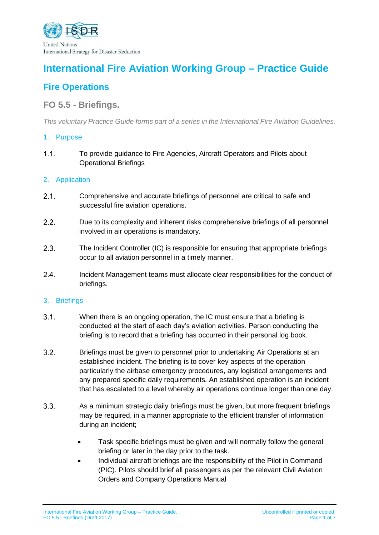

# **International Fire Aviation Working Group – Practice Guide**

# **Fire Operations**

# **FO 5.5 - Briefings.**

*This voluntary Practice Guide forms part of a series in the International Fire Aviation Guidelines.*

# 1. Purpose

 $1.1<sub>1</sub>$ To provide guidance to Fire Agencies, Aircraft Operators and Pilots about Operational Briefings

# 2. Application

- $2.1.$ Comprehensive and accurate briefings of personnel are critical to safe and successful fire aviation operations.
- $2.2.$ Due to its complexity and inherent risks comprehensive briefings of all personnel involved in air operations is mandatory.
- $2.3.$ The Incident Controller (IC) is responsible for ensuring that appropriate briefings occur to all aviation personnel in a timely manner.
- $2.4.$ Incident Management teams must allocate clear responsibilities for the conduct of briefings.

# 3. Briefings

- $3.1.$ When there is an ongoing operation, the IC must ensure that a briefing is conducted at the start of each day's aviation activities. Person conducting the briefing is to record that a briefing has occurred in their personal log book.
- $3.2.$ Briefings must be given to personnel prior to undertaking Air Operations at an established incident. The briefing is to cover key aspects of the operation particularly the airbase emergency procedures, any logistical arrangements and any prepared specific daily requirements. An established operation is an incident that has escalated to a level whereby air operations continue longer than one day.
- $3.3.$ As a minimum strategic daily briefings must be given, but more frequent briefings may be required, in a manner appropriate to the efficient transfer of information during an incident;
	- Task specific briefings must be given and will normally follow the general briefing or later in the day prior to the task.
	- Individual aircraft briefings are the responsibility of the Pilot in Command (PIC). Pilots should brief all passengers as per the relevant Civil Aviation Orders and Company Operations Manual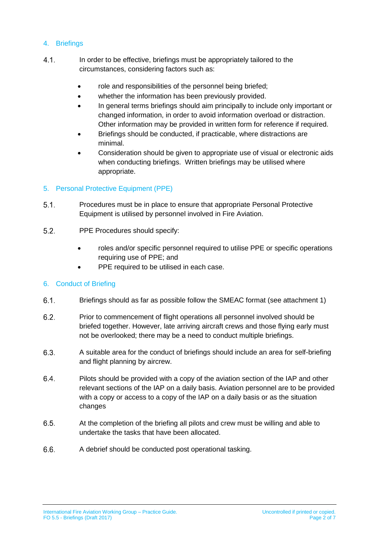# 4. Briefings

- $4.1.$ In order to be effective, briefings must be appropriately tailored to the circumstances, considering factors such as:
	- role and responsibilities of the personnel being briefed;
	- whether the information has been previously provided.
	- In general terms briefings should aim principally to include only important or changed information, in order to avoid information overload or distraction. Other information may be provided in written form for reference if required.
	- Briefings should be conducted, if practicable, where distractions are minimal.
	- Consideration should be given to appropriate use of visual or electronic aids when conducting briefings. Written briefings may be utilised where appropriate.

# 5. Personal Protective Equipment (PPE)

- $5.1.$ Procedures must be in place to ensure that appropriate Personal Protective Equipment is utilised by personnel involved in Fire Aviation.
- $5.2.$ PPE Procedures should specify:
	- roles and/or specific personnel required to utilise PPE or specific operations requiring use of PPE; and
	- PPE required to be utilised in each case.

# 6. Conduct of Briefing

- $6.1.$ Briefings should as far as possible follow the SMEAC format (see attachment 1)
- $6.2.$ Prior to commencement of flight operations all personnel involved should be briefed together. However, late arriving aircraft crews and those flying early must not be overlooked; there may be a need to conduct multiple briefings.
- $6.3.$ A suitable area for the conduct of briefings should include an area for self-briefing and flight planning by aircrew.
- 6.4. Pilots should be provided with a copy of the aviation section of the IAP and other relevant sections of the IAP on a daily basis. Aviation personnel are to be provided with a copy or access to a copy of the IAP on a daily basis or as the situation changes
- $6.5.$ At the completion of the briefing all pilots and crew must be willing and able to undertake the tasks that have been allocated.
- $6.6.$ A debrief should be conducted post operational tasking.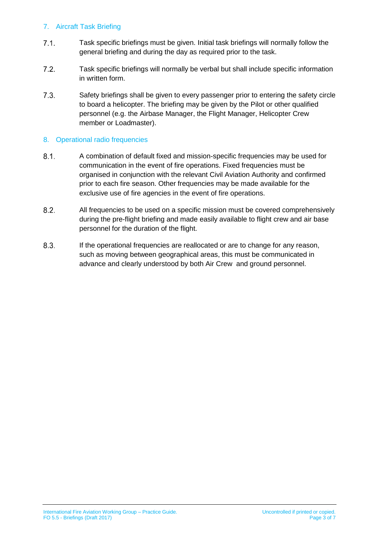# 7. Aircraft Task Briefing

- $7.1.$ Task specific briefings must be given. Initial task briefings will normally follow the general briefing and during the day as required prior to the task.
- $7.2.$ Task specific briefings will normally be verbal but shall include specific information in written form.
- $7.3.$ Safety briefings shall be given to every passenger prior to entering the safety circle to board a helicopter. The briefing may be given by the Pilot or other qualified personnel (e.g. the Airbase Manager, the Flight Manager, Helicopter Crew member or Loadmaster).

# 8. Operational radio frequencies

- $8.1.$ A combination of default fixed and mission-specific frequencies may be used for communication in the event of fire operations. Fixed frequencies must be organised in conjunction with the relevant Civil Aviation Authority and confirmed prior to each fire season. Other frequencies may be made available for the exclusive use of fire agencies in the event of fire operations.
- $8.2.$ All frequencies to be used on a specific mission must be covered comprehensively during the pre-flight briefing and made easily available to flight crew and air base personnel for the duration of the flight.
- $8.3.$ If the operational frequencies are reallocated or are to change for any reason, such as moving between geographical areas, this must be communicated in advance and clearly understood by both Air Crew and ground personnel.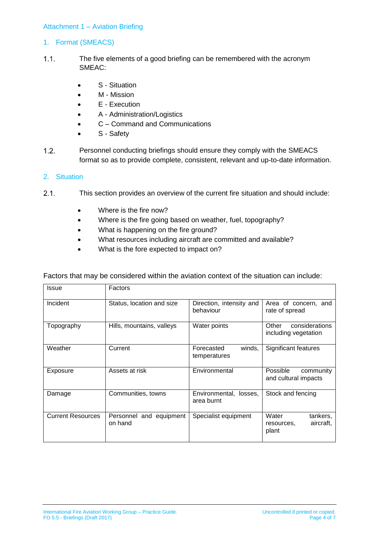#### Attachment 1 – Aviation Briefing

#### 1. Format (SMEACS)

- $1.1.$ The five elements of a good briefing can be remembered with the acronym SMEAC:
	- S Situation
	- M Mission
	- E Execution
	- A Administration/Logistics
	- C Command and Communications
	- S Safety
- $1.2.$ Personnel conducting briefings should ensure they comply with the SMEACS format so as to provide complete, consistent, relevant and up-to-date information.

#### 2. Situation

- $2.1$ This section provides an overview of the current fire situation and should include:
	- Where is the fire now?
	- Where is the fire going based on weather, fuel, topography?
	- What is happening on the fire ground?
	- What resources including aircraft are committed and available?
	- What is the fore expected to impact on?

| Issue                    | Factors                            |                                         |                                                       |
|--------------------------|------------------------------------|-----------------------------------------|-------------------------------------------------------|
| Incident                 | Status, location and size          | Direction, intensity and<br>behaviour   | Area of concern, and<br>rate of spread                |
| Topography               | Hills, mountains, valleys          | Water points                            | considerations<br>Other<br>including vegetation       |
| Weather                  | Current                            | Forecasted<br>winds.<br>temperatures    | Significant features                                  |
| Exposure                 | Assets at risk                     | Environmental                           | Possible<br>community<br>and cultural impacts         |
| Damage                   | Communities, towns                 | Environmental,<br>losses.<br>area burnt | Stock and fencing                                     |
| <b>Current Resources</b> | Personnel and equipment<br>on hand | Specialist equipment                    | Water<br>tankers,<br>aircraft,<br>resources,<br>plant |

Factors that may be considered within the aviation context of the situation can include: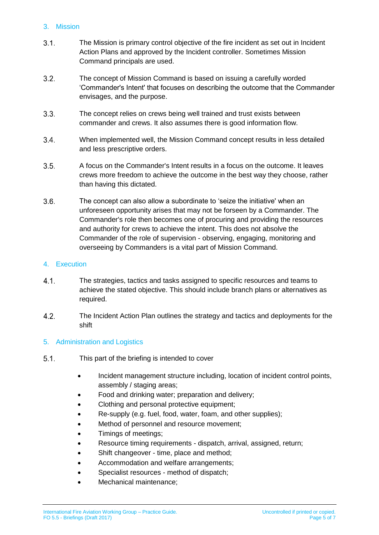# 3. Mission

- $3.1.$ The Mission is primary control objective of the fire incident as set out in Incident Action Plans and approved by the Incident controller. Sometimes Mission Command principals are used.
- $3.2.$ The concept of Mission Command is based on issuing a carefully worded 'Commander's Intent' that focuses on describing the outcome that the Commander envisages, and the purpose.
- $3.3.$ The concept relies on crews being well trained and trust exists between commander and crews. It also assumes there is good information flow.
- $3.4.$ When implemented well, the Mission Command concept results in less detailed and less prescriptive orders.
- $3.5<sub>1</sub>$ A focus on the Commander's Intent results in a focus on the outcome. It leaves crews more freedom to achieve the outcome in the best way they choose, rather than having this dictated.
- $3.6.$ The concept can also allow a subordinate to 'seize the initiative' when an unforeseen opportunity arises that may not be forseen by a Commander. The Commander's role then becomes one of procuring and providing the resources and authority for crews to achieve the intent. This does not absolve the Commander of the role of supervision - observing, engaging, monitoring and overseeing by Commanders is a vital part of Mission Command.

# 4. Execution

- $4.1.$ The strategies, tactics and tasks assigned to specific resources and teams to achieve the stated objective. This should include branch plans or alternatives as required.
- $4.2.$ The Incident Action Plan outlines the strategy and tactics and deployments for the shift

# 5. Administration and Logistics

- $5.1.$ This part of the briefing is intended to cover
	- Incident management structure including, location of incident control points, assembly / staging areas;
	- Food and drinking water; preparation and delivery;
	- Clothing and personal protective equipment;
	- Re-supply (e.g. fuel, food, water, foam, and other supplies);
	- Method of personnel and resource movement;
	- Timings of meetings;
	- Resource timing requirements dispatch, arrival, assigned, return;
	- Shift changeover time, place and method;
	- Accommodation and welfare arrangements;
	- Specialist resources method of dispatch;
	- Mechanical maintenance;